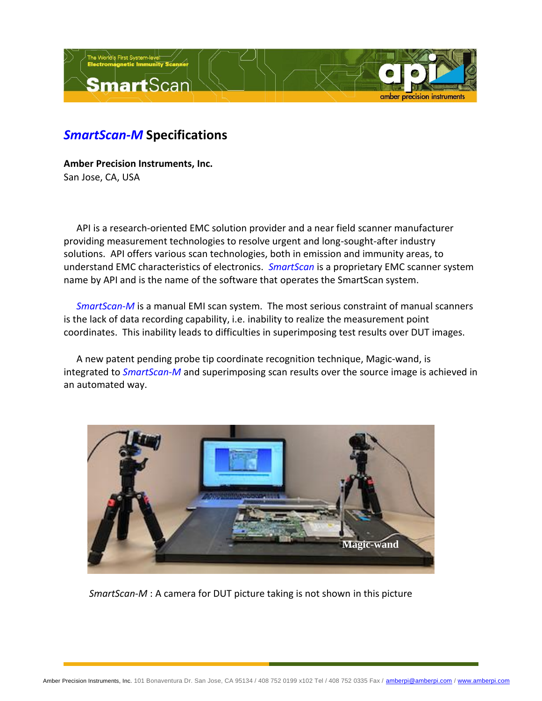

## *SmartScan-M* **Specifications**

**Amber Precision Instruments, Inc.** San Jose, CA, USA

API is a research-oriented EMC solution provider and a near field scanner manufacturer providing measurement technologies to resolve urgent and long-sought-after industry solutions. API offers various scan technologies, both in emission and immunity areas, to understand EMC characteristics of electronics. *SmartScan* is a proprietary EMC scanner system name by API and is the name of the software that operates the SmartScan system.

*SmartScan-M* is a manual EMI scan system. The most serious constraint of manual scanners is the lack of data recording capability, i.e. inability to realize the measurement point coordinates. This inability leads to difficulties in superimposing test results over DUT images.

A new patent pending probe tip coordinate recognition technique, Magic-wand, is integrated to *SmartScan-M* and superimposing scan results over the source image is achieved in an automated way.



*SmartScan-M* : A camera for DUT picture taking is not shown in this picture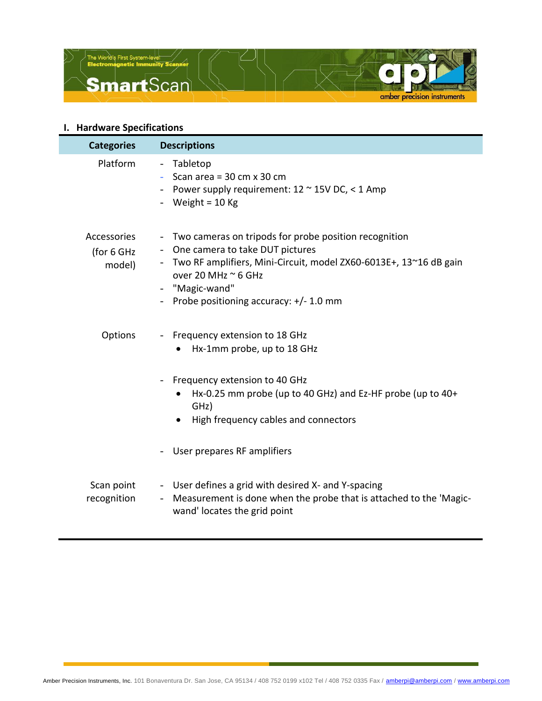

## **I. Hardware Specifications**

| <b>Categories</b>                   | <b>Descriptions</b>                                                                                                                                                                                                                                                                                              |
|-------------------------------------|------------------------------------------------------------------------------------------------------------------------------------------------------------------------------------------------------------------------------------------------------------------------------------------------------------------|
| Platform                            | - Tabletop<br>Scan area = $30 \text{ cm} \times 30 \text{ cm}$<br>$\sim 100$<br>Power supply requirement: $12 \approx 15$ V DC, < 1 Amp<br>- Weight = $10$ Kg                                                                                                                                                    |
| Accessories<br>(for 6 GHz<br>model) | Two cameras on tripods for probe position recognition<br>$\overline{\phantom{a}}$<br>- One camera to take DUT pictures<br>Two RF amplifiers, Mini-Circuit, model ZX60-6013E+, 13~16 dB gain<br>over 20 MHz $\approx$ 6 GHz<br>"Magic-wand"<br>Probe positioning accuracy: +/- 1.0 mm<br>$\overline{\phantom{a}}$ |
| Options                             | Frequency extension to 18 GHz<br>$ \,$<br>Hx-1mm probe, up to 18 GHz<br>Frequency extension to 40 GHz<br>$\overline{\phantom{a}}$<br>Hx-0.25 mm probe (up to 40 GHz) and Ez-HF probe (up to 40+<br>$\bullet$<br>GHz)<br>High frequency cables and connectors                                                     |
|                                     | User prepares RF amplifiers                                                                                                                                                                                                                                                                                      |
| Scan point<br>recognition           | - User defines a grid with desired X- and Y-spacing<br>Measurement is done when the probe that is attached to the 'Magic-<br>$\sim$<br>wand' locates the grid point                                                                                                                                              |